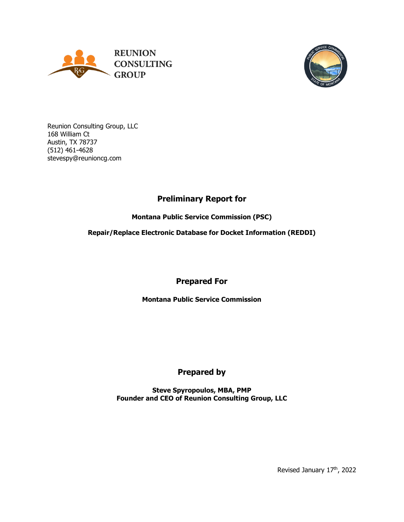<span id="page-0-0"></span>



Reunion Consulting Group, LLC 168 William Ct Austin, TX 78737 (512) 461-4628 stevespy@reunioncg.com

#### **Preliminary Report for**

**Montana Public Service Commission (PSC)**

**Repair/Replace Electronic Database for Docket Information (REDDI)**

**Prepared For**

**Montana Public Service Commission**

### **Prepared by**

**Steve Spyropoulos, MBA, PMP Founder and CEO of Reunion Consulting Group, LLC**

Revised January 17th, 2022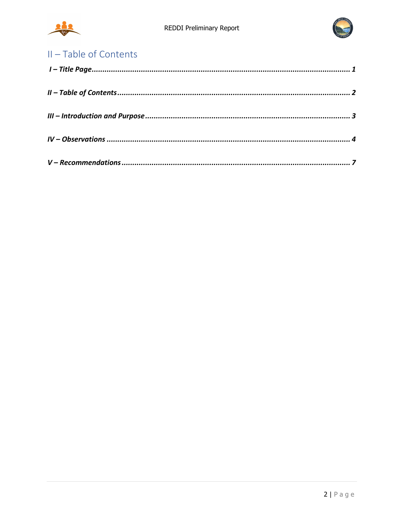



# <span id="page-1-0"></span>II-Table of Contents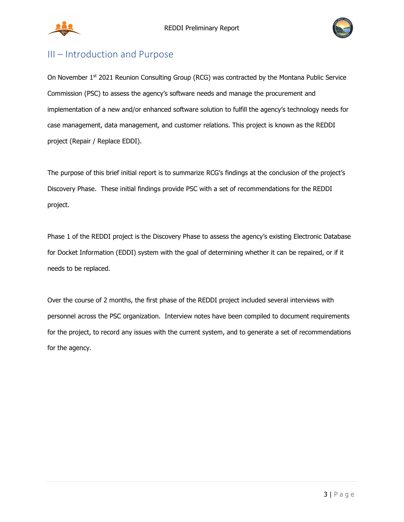



### <span id="page-2-0"></span>III – Introduction and Purpose

On November 1<sup>st</sup> 2021 Reunion Consulting Group (RCG) was contracted by the Montana Public Service Commission (PSC) to assess the agency's software needs and manage the procurement and implementation of a new and/or enhanced software solution to fulfill the agency's technology needs for case management, data management, and customer relations. This project is known as the REDDI project (Repair / Replace EDDI).

The purpose of this brief initial report is to summarize RCG's findings at the conclusion of the project's Discovery Phase. These initial findings provide PSC with a set of recommendations for the REDDI project.

Phase 1 of the REDDI project is the Discovery Phase to assess the agency's existing Electronic Database for Docket Information (EDDI) system with the goal of determining whether it can be repaired, or if it needs to be replaced.

Over the course of 2 months, the first phase of the REDDI project included several interviews with personnel across the PSC organization. Interview notes have been compiled to document requirements for the project, to record any issues with the current system, and to generate a set of recommendations for the agency.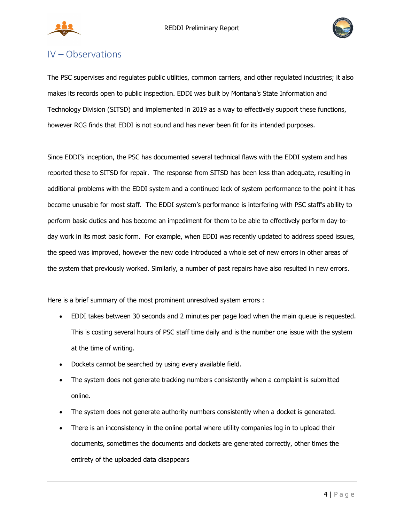



#### <span id="page-3-0"></span>IV – Observations

The PSC supervises and regulates public utilities, common carriers, and other regulated industries; it also makes its records open to public inspection. EDDI was built by Montana's State Information and Technology Division (SITSD) and implemented in 2019 as a way to effectively support these functions, however RCG finds that EDDI is not sound and has never been fit for its intended purposes.

Since EDDI's inception, the PSC has documented several technical flaws with the EDDI system and has reported these to SITSD for repair. The response from SITSD has been less than adequate, resulting in additional problems with the EDDI system and a continued lack of system performance to the point it has become unusable for most staff. The EDDI system's performance is interfering with PSC staff's ability to perform basic duties and has become an impediment for them to be able to effectively perform day-today work in its most basic form. For example, when EDDI was recently updated to address speed issues, the speed was improved, however the new code introduced a whole set of new errors in other areas of the system that previously worked. Similarly, a number of past repairs have also resulted in new errors.

Here is a brief summary of the most prominent unresolved system errors :

- EDDI takes between 30 seconds and 2 minutes per page load when the main queue is requested. This is costing several hours of PSC staff time daily and is the number one issue with the system at the time of writing.
- Dockets cannot be searched by using every available field.
- The system does not generate tracking numbers consistently when a complaint is submitted online.
- The system does not generate authority numbers consistently when a docket is generated.
- There is an inconsistency in the online portal where utility companies log in to upload their documents, sometimes the documents and dockets are generated correctly, other times the entirety of the uploaded data disappears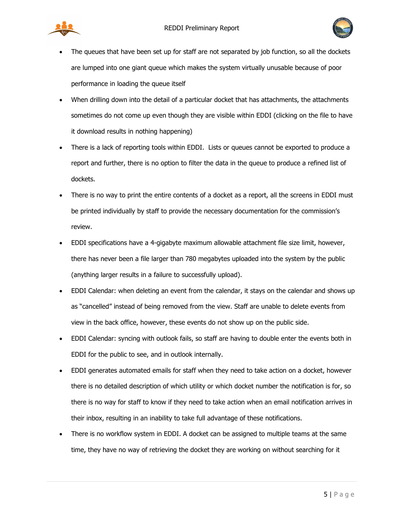



- The queues that have been set up for staff are not separated by job function, so all the dockets are lumped into one giant queue which makes the system virtually unusable because of poor performance in loading the queue itself
- When drilling down into the detail of a particular docket that has attachments, the attachments sometimes do not come up even though they are visible within EDDI (clicking on the file to have it download results in nothing happening)
- There is a lack of reporting tools within EDDI. Lists or queues cannot be exported to produce a report and further, there is no option to filter the data in the queue to produce a refined list of dockets.
- There is no way to print the entire contents of a docket as a report, all the screens in EDDI must be printed individually by staff to provide the necessary documentation for the commission's review.
- EDDI specifications have a 4-gigabyte maximum allowable attachment file size limit, however, there has never been a file larger than 780 megabytes uploaded into the system by the public (anything larger results in a failure to successfully upload).
- EDDI Calendar: when deleting an event from the calendar, it stays on the calendar and shows up as "cancelled" instead of being removed from the view. Staff are unable to delete events from view in the back office, however, these events do not show up on the public side.
- EDDI Calendar: syncing with outlook fails, so staff are having to double enter the events both in EDDI for the public to see, and in outlook internally.
- EDDI generates automated emails for staff when they need to take action on a docket, however there is no detailed description of which utility or which docket number the notification is for, so there is no way for staff to know if they need to take action when an email notification arrives in their inbox, resulting in an inability to take full advantage of these notifications.
- There is no workflow system in EDDI. A docket can be assigned to multiple teams at the same time, they have no way of retrieving the docket they are working on without searching for it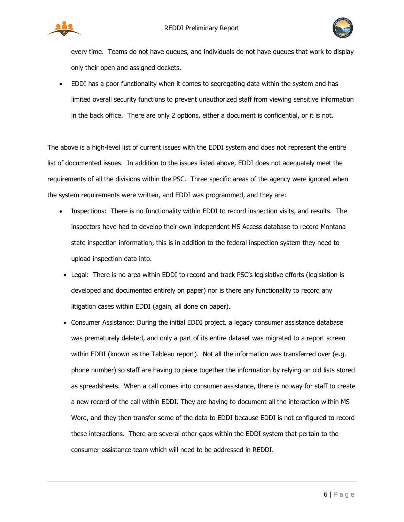



every time. Teams do not have queues, and individuals do not have queues that work to display only their open and assigned dockets.

• EDDI has a poor functionality when it comes to segregating data within the system and has limited overall security functions to prevent unauthorized staff from viewing sensitive information in the back office. There are only 2 options, either a document is confidential, or it is not.

The above is a high-level list of current issues with the EDDI system and does not represent the entire list of documented issues. In addition to the issues listed above, EDDI does not adequately meet the requirements of all the divisions within the PSC. Three specific areas of the agency were ignored when the system requirements were written, and EDDI was programmed, and they are:

- Inspections: There is no functionality within EDDI to record inspection visits, and results. The inspectors have had to develop their own independent MS Access database to record Montana state inspection information, this is in addition to the federal inspection system they need to upload inspection data into.
- Legal: There is no area within EDDI to record and track PSC's legislative efforts (legislation is developed and documented entirely on paper) nor is there any functionality to record any litigation cases within EDDI (again, all done on paper).
- Consumer Assistance: During the initial EDDI project, a legacy consumer assistance database was prematurely deleted, and only a part of its entire dataset was migrated to a report screen within EDDI (known as the Tableau report). Not all the information was transferred over (e.g. phone number) so staff are having to piece together the information by relying on old lists stored as spreadsheets. When a call comes into consumer assistance, there is no way for staff to create a new record of the call within EDDI. They are having to document all the interaction within MS Word, and they then transfer some of the data to EDDI because EDDI is not configured to record these interactions. There are several other gaps within the EDDI system that pertain to the consumer assistance team which will need to be addressed in REDDI.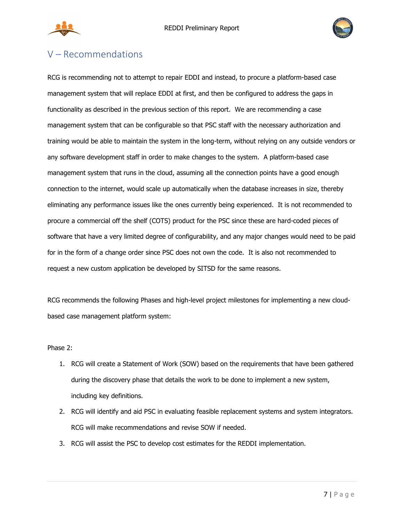



## <span id="page-6-0"></span>V – Recommendations

RCG is recommending not to attempt to repair EDDI and instead, to procure a platform-based case management system that will replace EDDI at first, and then be configured to address the gaps in functionality as described in the previous section of this report. We are recommending a case management system that can be configurable so that PSC staff with the necessary authorization and training would be able to maintain the system in the long-term, without relying on any outside vendors or any software development staff in order to make changes to the system. A platform-based case management system that runs in the cloud, assuming all the connection points have a good enough connection to the internet, would scale up automatically when the database increases in size, thereby eliminating any performance issues like the ones currently being experienced. It is not recommended to procure a commercial off the shelf (COTS) product for the PSC since these are hard-coded pieces of software that have a very limited degree of configurability, and any major changes would need to be paid for in the form of a change order since PSC does not own the code. It is also not recommended to request a new custom application be developed by SITSD for the same reasons.

RCG recommends the following Phases and high-level project milestones for implementing a new cloudbased case management platform system:

#### Phase 2:

- 1. RCG will create a Statement of Work (SOW) based on the requirements that have been gathered during the discovery phase that details the work to be done to implement a new system, including key definitions.
- 2. RCG will identify and aid PSC in evaluating feasible replacement systems and system integrators. RCG will make recommendations and revise SOW if needed.
- 3. RCG will assist the PSC to develop cost estimates for the REDDI implementation.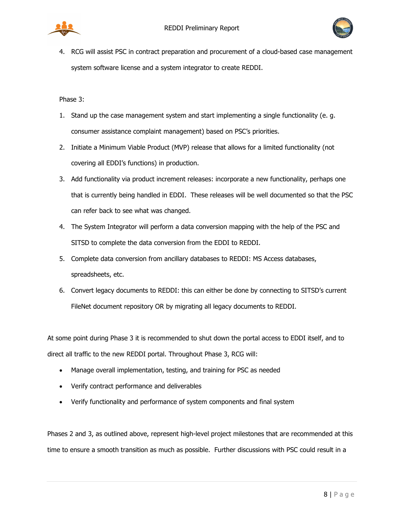

4. RCG will assist PSC in contract preparation and procurement of a cloud-based case management system software license and a system integrator to create REDDI.

Phase 3:

- 1. Stand up the case management system and start implementing a single functionality (e. g. consumer assistance complaint management) based on PSC's priorities.
- 2. Initiate a Minimum Viable Product (MVP) release that allows for a limited functionality (not covering all EDDI's functions) in production.
- 3. Add functionality via product increment releases: incorporate a new functionality, perhaps one that is currently being handled in EDDI. These releases will be well documented so that the PSC can refer back to see what was changed.
- 4. The System Integrator will perform a data conversion mapping with the help of the PSC and SITSD to complete the data conversion from the EDDI to REDDI.
- 5. Complete data conversion from ancillary databases to REDDI: MS Access databases, spreadsheets, etc.
- 6. Convert legacy documents to REDDI: this can either be done by connecting to SITSD's current FileNet document repository OR by migrating all legacy documents to REDDI.

At some point during Phase 3 it is recommended to shut down the portal access to EDDI itself, and to direct all traffic to the new REDDI portal. Throughout Phase 3, RCG will:

- Manage overall implementation, testing, and training for PSC as needed
- Verify contract performance and deliverables
- Verify functionality and performance of system components and final system

Phases 2 and 3, as outlined above, represent high-level project milestones that are recommended at this time to ensure a smooth transition as much as possible. Further discussions with PSC could result in a